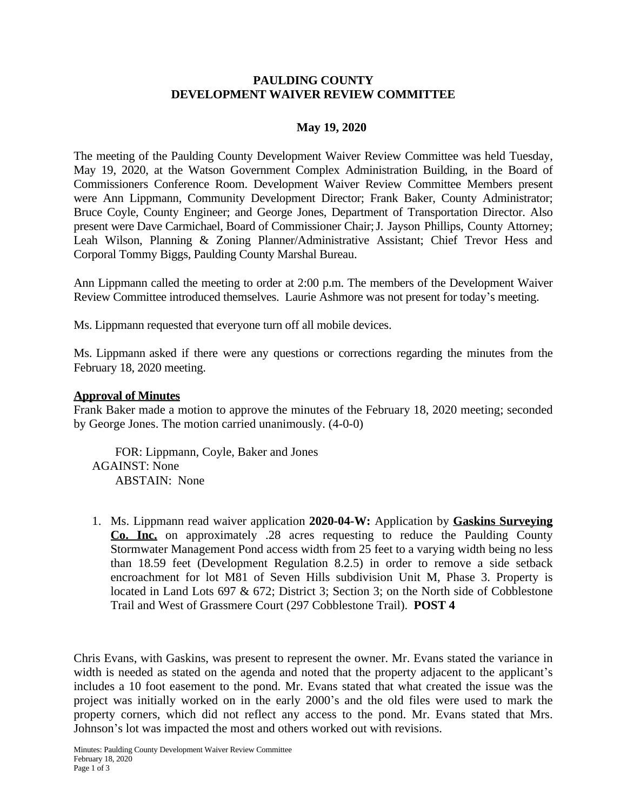# **PAULDING COUNTY DEVELOPMENT WAIVER REVIEW COMMITTEE**

## **May 19, 2020**

The meeting of the Paulding County Development Waiver Review Committee was held Tuesday, May 19, 2020, at the Watson Government Complex Administration Building, in the Board of Commissioners Conference Room. Development Waiver Review Committee Members present were Ann Lippmann, Community Development Director; Frank Baker, County Administrator; Bruce Coyle, County Engineer; and George Jones, Department of Transportation Director. Also present were Dave Carmichael, Board of Commissioner Chair;J. Jayson Phillips, County Attorney; Leah Wilson, Planning & Zoning Planner/Administrative Assistant; Chief Trevor Hess and Corporal Tommy Biggs, Paulding County Marshal Bureau.

Ann Lippmann called the meeting to order at 2:00 p.m. The members of the Development Waiver Review Committee introduced themselves. Laurie Ashmore was not present for today's meeting.

Ms. Lippmann requested that everyone turn off all mobile devices.

Ms. Lippmann asked if there were any questions or corrections regarding the minutes from the February 18, 2020 meeting.

### **Approval of Minutes**

Frank Baker made a motion to approve the minutes of the February 18, 2020 meeting; seconded by George Jones. The motion carried unanimously. (4-0-0)

 FOR: Lippmann, Coyle, Baker and Jones AGAINST: None ABSTAIN: None

1. Ms. Lippmann read waiver application **2020-04-W:** Application by **Gaskins Surveying Co. Inc.** on approximately .28 acres requesting to reduce the Paulding County Stormwater Management Pond access width from 25 feet to a varying width being no less than 18.59 feet (Development Regulation 8.2.5) in order to remove a side setback encroachment for lot M81 of Seven Hills subdivision Unit M, Phase 3. Property is located in Land Lots 697 & 672; District 3; Section 3; on the North side of Cobblestone Trail and West of Grassmere Court (297 Cobblestone Trail). **POST 4**

Chris Evans, with Gaskins, was present to represent the owner. Mr. Evans stated the variance in width is needed as stated on the agenda and noted that the property adjacent to the applicant's includes a 10 foot easement to the pond. Mr. Evans stated that what created the issue was the project was initially worked on in the early 2000's and the old files were used to mark the property corners, which did not reflect any access to the pond. Mr. Evans stated that Mrs. Johnson's lot was impacted the most and others worked out with revisions.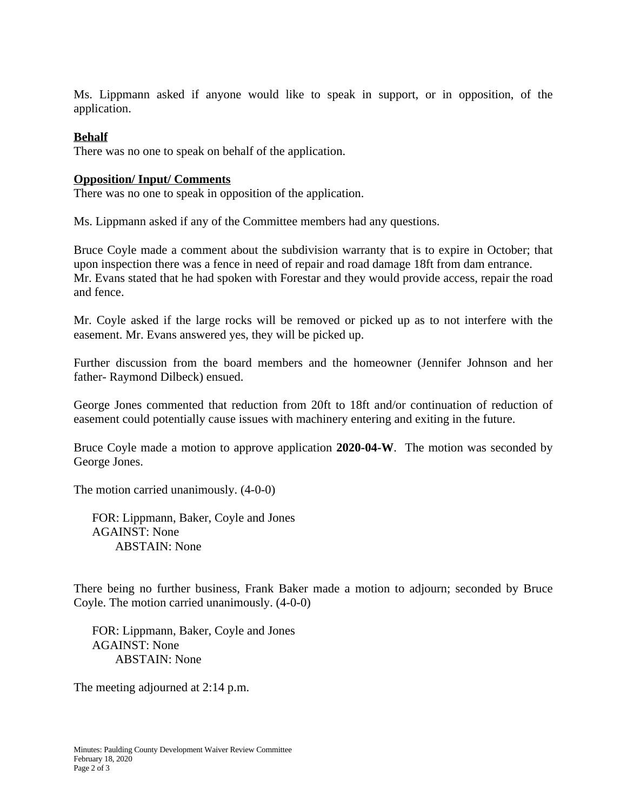Ms. Lippmann asked if anyone would like to speak in support, or in opposition, of the application.

## **Behalf**

There was no one to speak on behalf of the application.

#### **Opposition/ Input/ Comments**

There was no one to speak in opposition of the application.

Ms. Lippmann asked if any of the Committee members had any questions.

Bruce Coyle made a comment about the subdivision warranty that is to expire in October; that upon inspection there was a fence in need of repair and road damage 18ft from dam entrance. Mr. Evans stated that he had spoken with Forestar and they would provide access, repair the road and fence.

Mr. Coyle asked if the large rocks will be removed or picked up as to not interfere with the easement. Mr. Evans answered yes, they will be picked up.

Further discussion from the board members and the homeowner (Jennifer Johnson and her father- Raymond Dilbeck) ensued.

George Jones commented that reduction from 20ft to 18ft and/or continuation of reduction of easement could potentially cause issues with machinery entering and exiting in the future.

Bruce Coyle made a motion to approve application **2020-04-W**. The motion was seconded by George Jones.

The motion carried unanimously. (4-0-0)

FOR: Lippmann, Baker, Coyle and Jones AGAINST: None ABSTAIN: None

There being no further business, Frank Baker made a motion to adjourn; seconded by Bruce Coyle. The motion carried unanimously. (4-0-0)

FOR: Lippmann, Baker, Coyle and Jones AGAINST: None ABSTAIN: None

The meeting adjourned at 2:14 p.m.